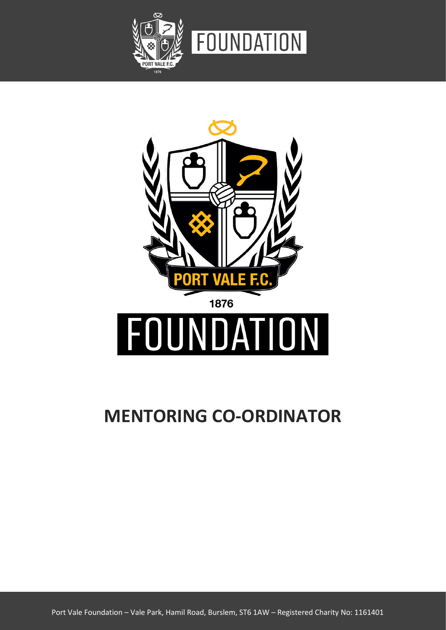



# **MENTORING CO-ORDINATOR**

Port Vale Foundation – Vale Park, Hamil Road, Burslem, ST6 1AW – Registered Charity No: 1161401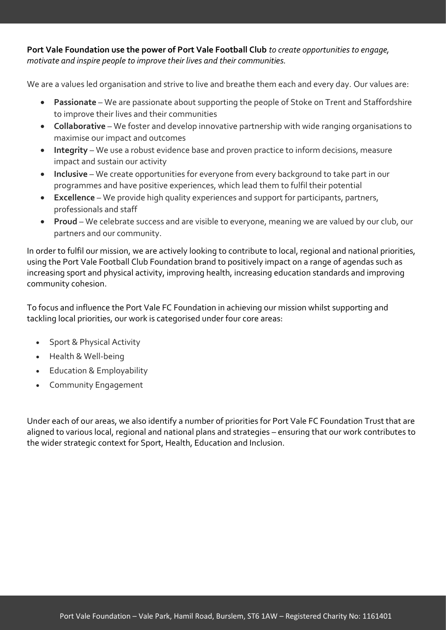**Port Vale Foundation use the power of Port Vale Football Club** *to create opportunities to engage, motivate and inspire people to improve their lives and their communities.* 

We are a values led organisation and strive to live and breathe them each and every day. Our values are:

- **Passionate** We are passionate about supporting the people of Stoke on Trent and Staffordshire to improve their lives and their communities
- **Collaborative** We foster and develop innovative partnership with wide ranging organisations to maximise our impact and outcomes
- **Integrity**  We use a robust evidence base and proven practice to inform decisions, measure impact and sustain our activity
- **Inclusive** We create opportunities for everyone from every background to take part in our programmes and have positive experiences, which lead them to fulfil their potential
- **Excellence** We provide high quality experiences and support for participants, partners, professionals and staff
- **Proud** We celebrate success and are visible to everyone, meaning we are valued by our club, our partners and our community.

In order to fulfil our mission, we are actively looking to contribute to local, regional and national priorities, using the Port Vale Football Club Foundation brand to positively impact on a range of agendas such as increasing sport and physical activity, improving health, increasing education standards and improving community cohesion.

To focus and influence the Port Vale FC Foundation in achieving our mission whilst supporting and tackling local priorities, our work is categorised under four core areas:

- Sport & Physical Activity
- Health & Well-being
- Education & Employability
- Community Engagement

Under each of our areas, we also identify a number of priorities for Port Vale FC Foundation Trust that are aligned to various local, regional and national plans and strategies – ensuring that our work contributes to the wider strategic context for Sport, Health, Education and Inclusion.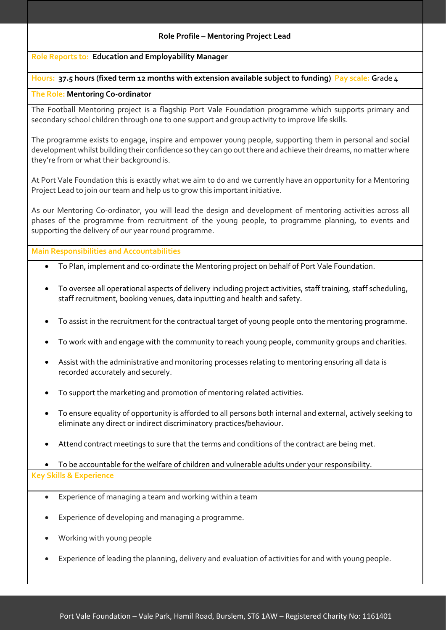#### **Role Profile – Mentoring Project Lead**

#### **Role Reports to: Education and Employability Manager**

### **Hours: 37.5 hours (fixed term 12 months with extension available subject to funding) Pay scale: G**rade 4

#### **The Role: Mentoring Co-ordinator**

The Football Mentoring project is a flagship Port Vale Foundation programme which supports primary and secondary school children through one to one support and group activity to improve life skills.

The programme exists to engage, inspire and empower young people, supporting them in personal and social development whilst building their confidence so they can go out there and achieve their dreams, no matter where they're from or what their background is.

At Port Vale Foundation this is exactly what we aim to do and we currently have an opportunity for a Mentoring Project Lead to join our team and help us to grow this important initiative.

As our Mentoring Co-ordinator, you will lead the design and development of mentoring activities across all phases of the programme from recruitment of the young people, to programme planning, to events and supporting the delivery of our year round programme.

**Main Responsibilities and Accountabilities**

- To Plan, implement and co-ordinate the Mentoring project on behalf of Port Vale Foundation.
- To oversee all operational aspects of delivery including project activities, staff training, staff scheduling, staff recruitment, booking venues, data inputting and health and safety.
- To assist in the recruitment for the contractual target of young people onto the mentoring programme.
- To work with and engage with the community to reach young people, community groups and charities.
- Assist with the administrative and monitoring processes relating to mentoring ensuring all data is recorded accurately and securely.
- To support the marketing and promotion of mentoring related activities.
- To ensure equality of opportunity is afforded to all persons both internal and external, actively seeking to eliminate any direct or indirect discriminatory practices/behaviour.
- Attend contract meetings to sure that the terms and conditions of the contract are being met.

• To be accountable for the welfare of children and vulnerable adults under your responsibility. **Key Skills & Experience**

- Experience of managing a team and working within a team
- Experience of developing and managing a programme.
- Working with young people
- Experience of leading the planning, delivery and evaluation of activities for and with young people.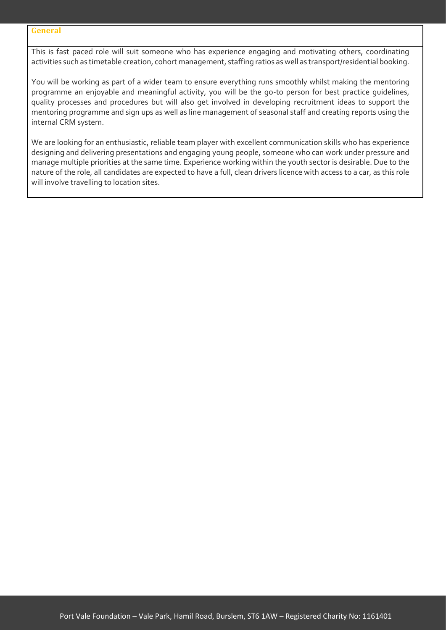#### **General**

This is fast paced role will suit someone who has experience engaging and motivating others, coordinating activities such as timetable creation, cohort management, staffing ratios as well as transport/residential booking.

You will be working as part of a wider team to ensure everything runs smoothly whilst making the mentoring programme an enjoyable and meaningful activity, you will be the go-to person for best practice guidelines, quality processes and procedures but will also get involved in developing recruitment ideas to support the mentoring programme and sign ups as well as line management of seasonal staff and creating reports using the internal CRM system.

We are looking for an enthusiastic, reliable team player with excellent communication skills who has experience designing and delivering presentations and engaging young people, someone who can work under pressure and manage multiple priorities at the same time. Experience working within the youth sector is desirable. Due to the nature of the role, all candidates are expected to have a full, clean drivers licence with access to a car, as this role will involve travelling to location sites.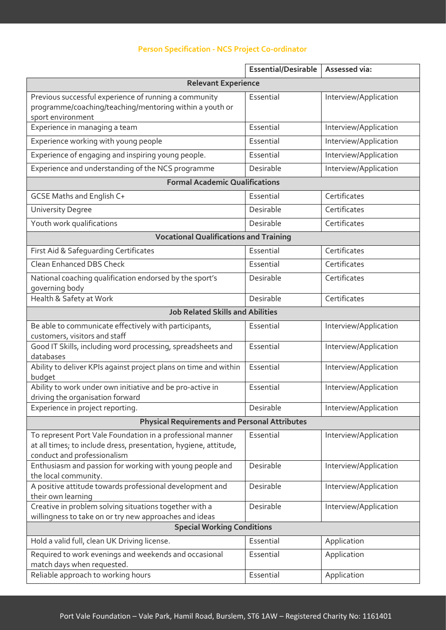## **Person Specification - NCS Project Co-ordinator**

|                                                                                                                                                               | <b>Essential/Desirable</b> | Assessed via:         |
|---------------------------------------------------------------------------------------------------------------------------------------------------------------|----------------------------|-----------------------|
| <b>Relevant Experience</b>                                                                                                                                    |                            |                       |
| Previous successful experience of running a community<br>programme/coaching/teaching/mentoring within a youth or<br>sport environment                         | Essential                  | Interview/Application |
| Experience in managing a team                                                                                                                                 | Essential                  | Interview/Application |
| Experience working with young people                                                                                                                          | Essential                  | Interview/Application |
| Experience of engaging and inspiring young people.                                                                                                            | Essential                  | Interview/Application |
| Experience and understanding of the NCS programme                                                                                                             | Desirable                  | Interview/Application |
| <b>Formal Academic Qualifications</b>                                                                                                                         |                            |                       |
| <b>GCSE Maths and English C+</b>                                                                                                                              | Essential                  | Certificates          |
| <b>University Degree</b>                                                                                                                                      | Desirable                  | Certificates          |
| Youth work qualifications                                                                                                                                     | Desirable                  | Certificates          |
| <b>Vocational Qualifications and Training</b>                                                                                                                 |                            |                       |
| First Aid & Safeguarding Certificates                                                                                                                         | Essential                  | Certificates          |
| Clean Enhanced DBS Check                                                                                                                                      | Essential                  | Certificates          |
| National coaching qualification endorsed by the sport's<br>governing body                                                                                     | Desirable                  | Certificates          |
| Health & Safety at Work                                                                                                                                       | Desirable                  | Certificates          |
| <b>Job Related Skills and Abilities</b>                                                                                                                       |                            |                       |
| Be able to communicate effectively with participants,<br>customers, visitors and staff                                                                        | Essential                  | Interview/Application |
| Good IT Skills, including word processing, spreadsheets and<br>databases                                                                                      | Essential                  | Interview/Application |
| Ability to deliver KPIs against project plans on time and within<br>budget                                                                                    | Essential                  | Interview/Application |
| Ability to work under own initiative and be pro-active in<br>driving the organisation forward                                                                 | Essential                  | Interview/Application |
| Experience in project reporting.                                                                                                                              | Desirable                  | Interview/Application |
| <b>Physical Requirements and Personal Attributes</b>                                                                                                          |                            |                       |
| To represent Port Vale Foundation in a professional manner<br>at all times; to include dress, presentation, hygiene, attitude,<br>conduct and professionalism | Essential                  | Interview/Application |
| Enthusiasm and passion for working with young people and<br>the local community.                                                                              | Desirable                  | Interview/Application |
| A positive attitude towards professional development and<br>their own learning                                                                                | Desirable                  | Interview/Application |
| Creative in problem solving situations together with a<br>willingness to take on or try new approaches and ideas                                              | Desirable                  | Interview/Application |
| <b>Special Working Conditions</b>                                                                                                                             |                            |                       |
| Hold a valid full, clean UK Driving license.                                                                                                                  | Essential                  | Application           |
| Required to work evenings and weekends and occasional<br>match days when requested.                                                                           | Essential                  | Application           |
| Reliable approach to working hours                                                                                                                            | Essential                  | Application           |